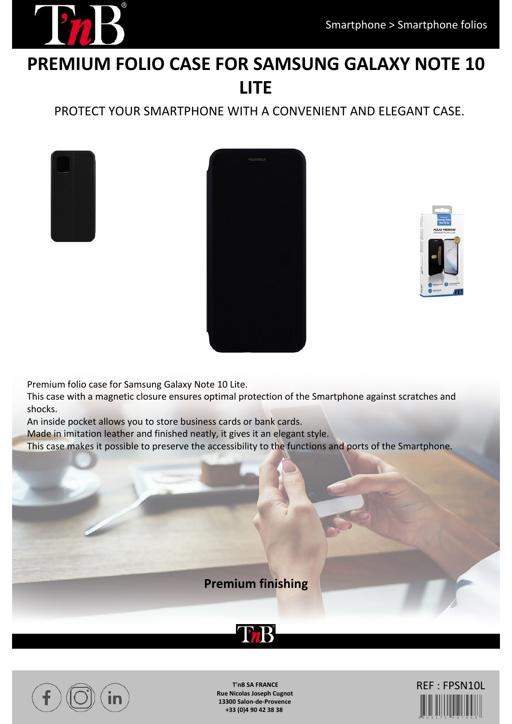

## **PREMIUM FOLIO CASE FOR SAMSUNG GALAXY NOTE 10 LITE**

PROTECT YOUR SMARTPHONE WITH A CONVENIENT AND ELEGANT CASE.





Premium folio case for Samsung Galaxy Note 10 Lite.

This case with a magnetic closure ensures optimal protection of the Smartphone against scratches and shocks.

An inside pocket allows you to store business cards or bank cards.

Made in imitation leather and finished neatly, it gives it an elegant style.

This case makes it possible to preserve the accessibility to the functions and ports of the Smartphone.







**T'nB SA FRANCE Rue Nicolas Joseph Cugnot 13300 Salon-de-Provence +33 (0)4 90 42 38 38**